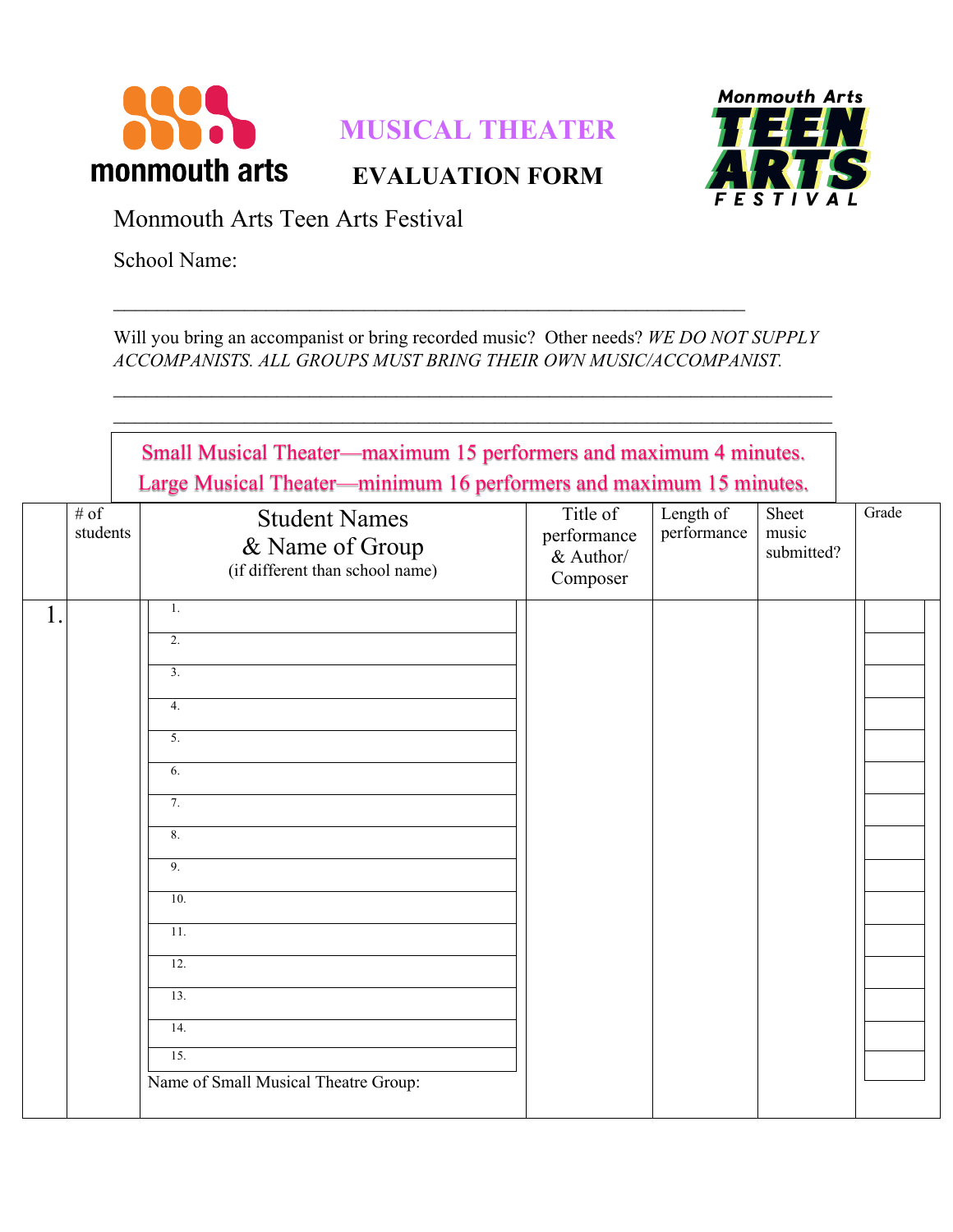

## **MUSICAL THEATER**

**EVALUATION FORM**



Monmouth Arts Teen Arts Festival

School Name:

Will you bring an accompanist or bring recorded music? Other needs? *WE DO NOT SUPPLY ACCOMPANISTS. ALL GROUPS MUST BRING THEIR OWN MUSIC/ACCOMPANIST.*

 $\mathcal{L}_\text{max}$  , and the contract of the contract of the contract of the contract of the contract of the contract of

|                  | Small Musical Theater—maximum 15 performers and maximum 4 minutes.<br>Large Musical Theater—minimum 16 performers and maximum 15 minutes. |                                                  |                          |                              |       |
|------------------|-------------------------------------------------------------------------------------------------------------------------------------------|--------------------------------------------------|--------------------------|------------------------------|-------|
| # of<br>students | <b>Student Names</b><br>& Name of Group<br>(if different than school name)                                                                | Title of<br>performance<br>& Author/<br>Composer | Length of<br>performance | Sheet<br>music<br>submitted? | Grade |
| 1.               | 1.<br>2.<br>3.<br>4.<br>5.<br>6.<br>7.<br>8.<br>9.<br>10.<br>11.<br>12.<br>13.<br>14.<br>15.<br>Name of Small Musical Theatre Group:      |                                                  |                          |                              |       |